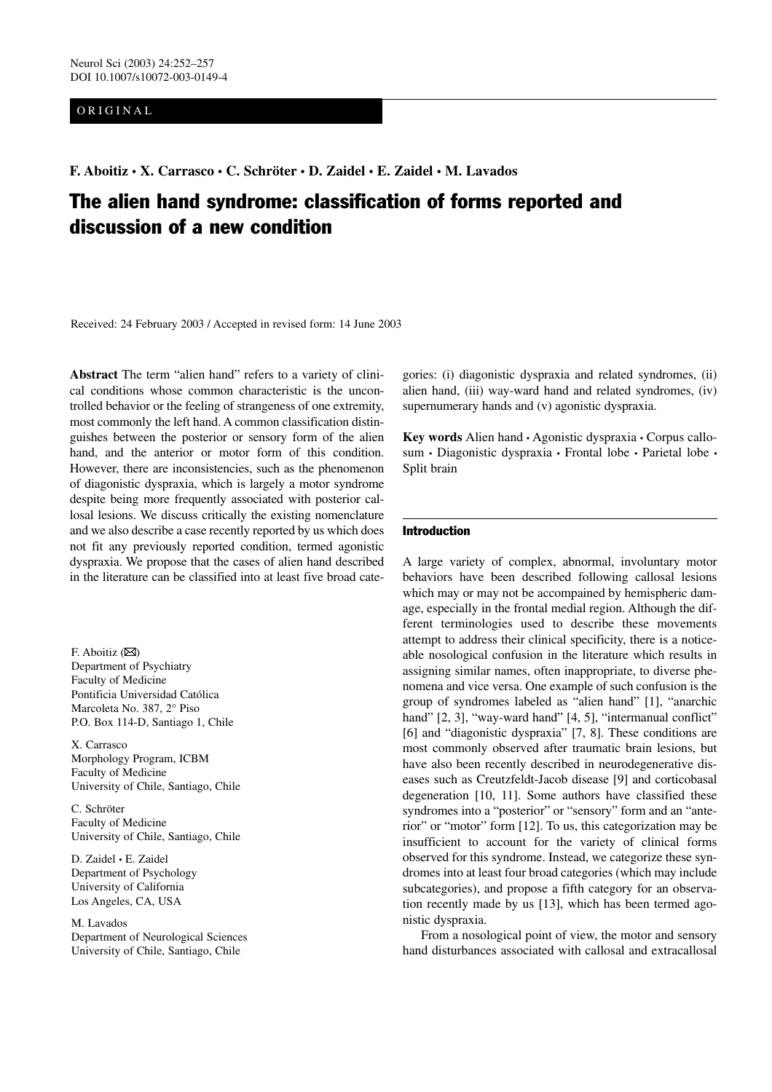## ORIGINAL

**F. Aboitiz • X. Carrasco • C. Schröter • D. Zaidel • E. Zaidel • M. Lavados**

# The alien hand syndrome: classification of forms reported and discussion of a new condition

Received: 24 February 2003 / Accepted in revised form: 14 June 2003

**Abstract** The term "alien hand" refers to a variety of clinical conditions whose common characteristic is the uncontrolled behavior or the feeling of strangeness of one extremity, most commonly the left hand. A common classification distinguishes between the posterior or sensory form of the alien hand, and the anterior or motor form of this condition. However, there are inconsistencies, such as the phenomenon of diagonistic dyspraxia, which is largely a motor syndrome despite being more frequently associated with posterior callosal lesions. We discuss critically the existing nomenclature and we also describe a case recently reported by us which does not fit any previously reported condition, termed agonistic dyspraxia. We propose that the cases of alien hand described in the literature can be classified into at least five broad cate-

F. Aboitiz ( $\boxtimes$ ) Department of Psychiatry Faculty of Medicine Pontificia Universidad Católica Marcoleta No. 387, 2° Piso P.O. Box 114-D, Santiago 1, Chile

X. Carrasco Morphology Program, ICBM Faculty of Medicine University of Chile, Santiago, Chile

C. Schröter Faculty of Medicine University of Chile, Santiago, Chile

D. Zaidel • E. Zaidel Department of Psychology University of California Los Angeles, CA, USA

M. Lavados Department of Neurological Sciences University of Chile, Santiago, Chile

gories: (i) diagonistic dyspraxia and related syndromes, (ii) alien hand, (iii) way-ward hand and related syndromes, (iv) supernumerary hands and (v) agonistic dyspraxia.

**Key words** Alien hand • Agonistic dyspraxia • Corpus callosum • Diagonistic dyspraxia • Frontal lobe • Parietal lobe • Split brain

## Introduction

A large variety of complex, abnormal, involuntary motor behaviors have been described following callosal lesions which may or may not be accompained by hemispheric damage, especially in the frontal medial region. Although the different terminologies used to describe these movements attempt to address their clinical specificity, there is a noticeable nosological confusion in the literature which results in assigning similar names, often inappropriate, to diverse phenomena and vice versa. One example of such confusion is the group of syndromes labeled as "alien hand" [1], "anarchic hand" [2, 3], "way-ward hand" [4, 5], "intermanual conflict" [6] and "diagonistic dyspraxia" [7, 8]. These conditions are most commonly observed after traumatic brain lesions, but have also been recently described in neurodegenerative diseases such as Creutzfeldt-Jacob disease [9] and corticobasal degeneration [10, 11]. Some authors have classified these syndromes into a "posterior" or "sensory" form and an "anterior" or "motor" form [12]. To us, this categorization may be insufficient to account for the variety of clinical forms observed for this syndrome. Instead, we categorize these syndromes into at least four broad categories (which may include subcategories), and propose a fifth category for an observation recently made by us [13], which has been termed agonistic dyspraxia.

From a nosological point of view, the motor and sensory hand disturbances associated with callosal and extracallosal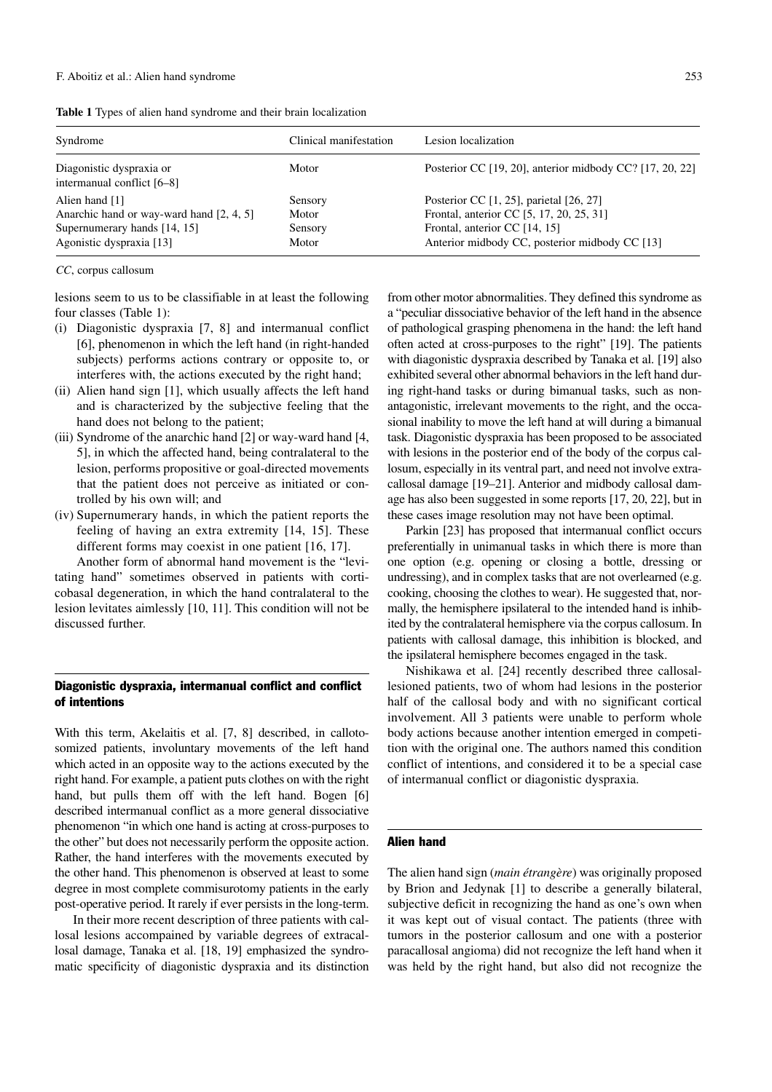| <b>Table 1</b> Types of alien hand syndrome and their brain localization |  |  |  |
|--------------------------------------------------------------------------|--|--|--|
|--------------------------------------------------------------------------|--|--|--|

| Syndrome                                               | Clinical manifestation | Lesion localization                                      |
|--------------------------------------------------------|------------------------|----------------------------------------------------------|
| Diagonistic dyspraxia or<br>intermanual conflict [6–8] | Motor                  | Posterior CC [19, 20], anterior midbody CC? [17, 20, 22] |
| Alien hand [1]                                         | Sensory                | Posterior CC $[1, 25]$ , parietal $[26, 27]$             |
| Anarchic hand or way-ward hand [2, 4, 5]               | Motor                  | Frontal, anterior CC [5, 17, 20, 25, 31]                 |
| Supernumerary hands [14, 15]                           | Sensory                | Frontal, anterior CC [14, 15]                            |
| Agonistic dyspraxia [13]                               | Motor                  | Anterior midbody CC, posterior midbody CC [13]           |

*CC*, corpus callosum

lesions seem to us to be classifiable in at least the following four classes (Table 1):

- (i) Diagonistic dyspraxia [7, 8] and intermanual conflict [6], phenomenon in which the left hand (in right-handed subjects) performs actions contrary or opposite to, or interferes with, the actions executed by the right hand;
- (ii) Alien hand sign [1], which usually affects the left hand and is characterized by the subjective feeling that the hand does not belong to the patient;
- (iii) Syndrome of the anarchic hand [2] or way-ward hand [4, 5], in which the affected hand, being contralateral to the lesion, performs propositive or goal-directed movements that the patient does not perceive as initiated or controlled by his own will; and
- (iv) Supernumerary hands, in which the patient reports the feeling of having an extra extremity [14, 15]. These different forms may coexist in one patient [16, 17].

Another form of abnormal hand movement is the "levitating hand" sometimes observed in patients with corticobasal degeneration, in which the hand contralateral to the lesion levitates aimlessly [10, 11]. This condition will not be discussed further.

## Diagonistic dyspraxia, intermanual conflict and conflict of intentions

With this term, Akelaitis et al. [7, 8] described, in callotosomized patients, involuntary movements of the left hand which acted in an opposite way to the actions executed by the right hand. For example, a patient puts clothes on with the right hand, but pulls them off with the left hand. Bogen [6] described intermanual conflict as a more general dissociative phenomenon "in which one hand is acting at cross-purposes to the other" but does not necessarily perform the opposite action. Rather, the hand interferes with the movements executed by the other hand. This phenomenon is observed at least to some degree in most complete commisurotomy patients in the early post-operative period. It rarely if ever persists in the long-term.

In their more recent description of three patients with callosal lesions accompained by variable degrees of extracallosal damage, Tanaka et al. [18, 19] emphasized the syndromatic specificity of diagonistic dyspraxia and its distinction

from other motor abnormalities. They defined this syndrome as a "peculiar dissociative behavior of the left hand in the absence of pathological grasping phenomena in the hand: the left hand often acted at cross-purposes to the right" [19]. The patients with diagonistic dyspraxia described by Tanaka et al. [19] also exhibited several other abnormal behaviors in the left hand during right-hand tasks or during bimanual tasks, such as nonantagonistic, irrelevant movements to the right, and the occasional inability to move the left hand at will during a bimanual task. Diagonistic dyspraxia has been proposed to be associated with lesions in the posterior end of the body of the corpus callosum, especially in its ventral part, and need not involve extracallosal damage [19–21]. Anterior and midbody callosal damage has also been suggested in some reports [17, 20, 22], but in these cases image resolution may not have been optimal.

Parkin [23] has proposed that intermanual conflict occurs preferentially in unimanual tasks in which there is more than one option (e.g. opening or closing a bottle, dressing or undressing), and in complex tasks that are not overlearned (e.g. cooking, choosing the clothes to wear). He suggested that, normally, the hemisphere ipsilateral to the intended hand is inhibited by the contralateral hemisphere via the corpus callosum. In patients with callosal damage, this inhibition is blocked, and the ipsilateral hemisphere becomes engaged in the task.

Nishikawa et al. [24] recently described three callosallesioned patients, two of whom had lesions in the posterior half of the callosal body and with no significant cortical involvement. All 3 patients were unable to perform whole body actions because another intention emerged in competition with the original one. The authors named this condition conflict of intentions, and considered it to be a special case of intermanual conflict or diagonistic dyspraxia.

### Alien hand

The alien hand sign (*main étrangère*) was originally proposed by Brion and Jedynak [1] to describe a generally bilateral, subjective deficit in recognizing the hand as one's own when it was kept out of visual contact. The patients (three with tumors in the posterior callosum and one with a posterior paracallosal angioma) did not recognize the left hand when it was held by the right hand, but also did not recognize the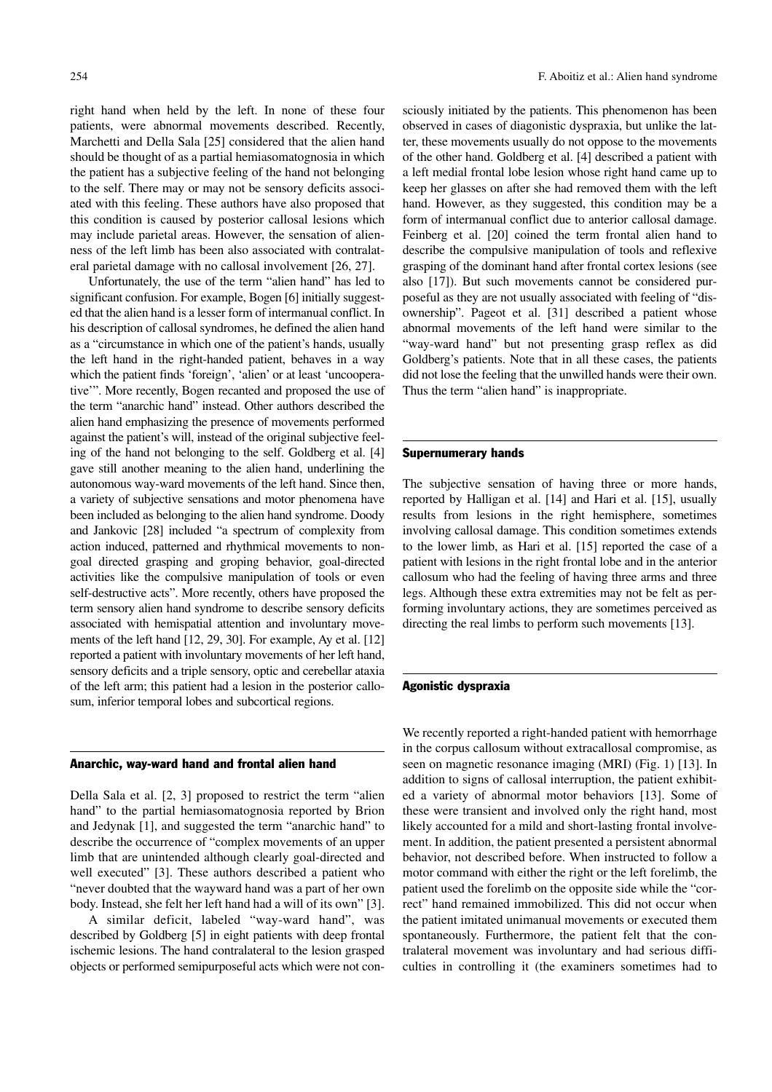right hand when held by the left. In none of these four patients, were abnormal movements described. Recently, Marchetti and Della Sala [25] considered that the alien hand should be thought of as a partial hemiasomatognosia in which the patient has a subjective feeling of the hand not belonging to the self. There may or may not be sensory deficits associated with this feeling. These authors have also proposed that this condition is caused by posterior callosal lesions which may include parietal areas. However, the sensation of alienness of the left limb has been also associated with contralateral parietal damage with no callosal involvement [26, 27].

Unfortunately, the use of the term "alien hand" has led to significant confusion. For example, Bogen [6] initially suggested that the alien hand is a lesser form of intermanual conflict. In his description of callosal syndromes, he defined the alien hand as a "circumstance in which one of the patient's hands, usually the left hand in the right-handed patient, behaves in a way which the patient finds 'foreign', 'alien' or at least 'uncooperative'". More recently, Bogen recanted and proposed the use of the term "anarchic hand" instead. Other authors described the alien hand emphasizing the presence of movements performed against the patient's will, instead of the original subjective feeling of the hand not belonging to the self. Goldberg et al. [4] gave still another meaning to the alien hand, underlining the autonomous way-ward movements of the left hand. Since then, a variety of subjective sensations and motor phenomena have been included as belonging to the alien hand syndrome. Doody and Jankovic [28] included "a spectrum of complexity from action induced, patterned and rhythmical movements to nongoal directed grasping and groping behavior, goal-directed activities like the compulsive manipulation of tools or even self-destructive acts". More recently, others have proposed the term sensory alien hand syndrome to describe sensory deficits associated with hemispatial attention and involuntary movements of the left hand [12, 29, 30]. For example, Ay et al. [12] reported a patient with involuntary movements of her left hand, sensory deficits and a triple sensory, optic and cerebellar ataxia of the left arm; this patient had a lesion in the posterior callosum, inferior temporal lobes and subcortical regions.

#### Anarchic, way-ward hand and frontal alien hand

Della Sala et al. [2, 3] proposed to restrict the term "alien hand" to the partial hemiasomatognosia reported by Brion and Jedynak [1], and suggested the term "anarchic hand" to describe the occurrence of "complex movements of an upper limb that are unintended although clearly goal-directed and well executed" [3]. These authors described a patient who "never doubted that the wayward hand was a part of her own body. Instead, she felt her left hand had a will of its own" [3].

A similar deficit, labeled "way-ward hand", was described by Goldberg [5] in eight patients with deep frontal ischemic lesions. The hand contralateral to the lesion grasped objects or performed semipurposeful acts which were not consciously initiated by the patients. This phenomenon has been observed in cases of diagonistic dyspraxia, but unlike the latter, these movements usually do not oppose to the movements of the other hand. Goldberg et al. [4] described a patient with a left medial frontal lobe lesion whose right hand came up to keep her glasses on after she had removed them with the left hand. However, as they suggested, this condition may be a form of intermanual conflict due to anterior callosal damage. Feinberg et al. [20] coined the term frontal alien hand to describe the compulsive manipulation of tools and reflexive grasping of the dominant hand after frontal cortex lesions (see also [17]). But such movements cannot be considered purposeful as they are not usually associated with feeling of "disownership". Pageot et al. [31] described a patient whose abnormal movements of the left hand were similar to the "way-ward hand" but not presenting grasp reflex as did Goldberg's patients. Note that in all these cases, the patients did not lose the feeling that the unwilled hands were their own. Thus the term "alien hand" is inappropriate.

#### Supernumerary hands

The subjective sensation of having three or more hands, reported by Halligan et al. [14] and Hari et al. [15], usually results from lesions in the right hemisphere, sometimes involving callosal damage. This condition sometimes extends to the lower limb, as Hari et al. [15] reported the case of a patient with lesions in the right frontal lobe and in the anterior callosum who had the feeling of having three arms and three legs. Although these extra extremities may not be felt as performing involuntary actions, they are sometimes perceived as directing the real limbs to perform such movements [13].

#### Agonistic dyspraxia

We recently reported a right-handed patient with hemorrhage in the corpus callosum without extracallosal compromise, as seen on magnetic resonance imaging (MRI) (Fig. 1) [13]. In addition to signs of callosal interruption, the patient exhibited a variety of abnormal motor behaviors [13]. Some of these were transient and involved only the right hand, most likely accounted for a mild and short-lasting frontal involvement. In addition, the patient presented a persistent abnormal behavior, not described before. When instructed to follow a motor command with either the right or the left forelimb, the patient used the forelimb on the opposite side while the "correct" hand remained immobilized. This did not occur when the patient imitated unimanual movements or executed them spontaneously. Furthermore, the patient felt that the contralateral movement was involuntary and had serious difficulties in controlling it (the examiners sometimes had to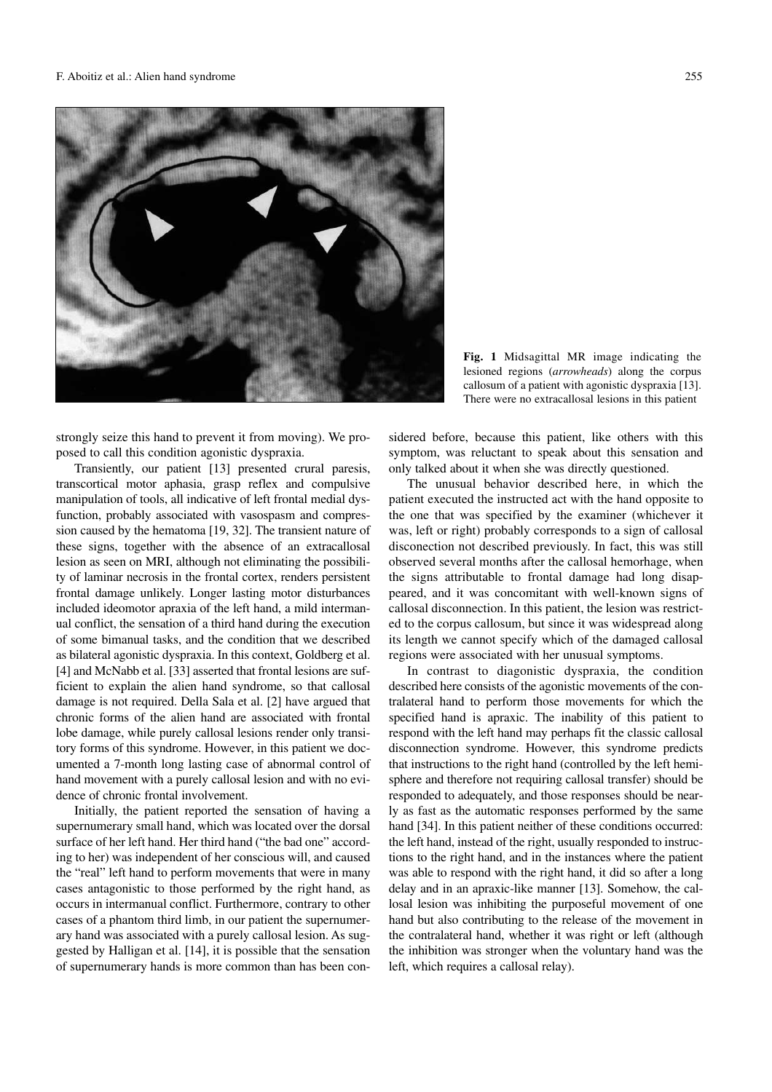

**Fig. 1** Midsagittal MR image indicating the lesioned regions (*arrowheads*) along the corpus callosum of a patient with agonistic dyspraxia [13]. There were no extracallosal lesions in this patient

strongly seize this hand to prevent it from moving). We proposed to call this condition agonistic dyspraxia.

Transiently, our patient [13] presented crural paresis, transcortical motor aphasia, grasp reflex and compulsive manipulation of tools, all indicative of left frontal medial dysfunction, probably associated with vasospasm and compression caused by the hematoma [19, 32]. The transient nature of these signs, together with the absence of an extracallosal lesion as seen on MRI, although not eliminating the possibility of laminar necrosis in the frontal cortex, renders persistent frontal damage unlikely. Longer lasting motor disturbances included ideomotor apraxia of the left hand, a mild intermanual conflict, the sensation of a third hand during the execution of some bimanual tasks, and the condition that we described as bilateral agonistic dyspraxia. In this context, Goldberg et al. [4] and McNabb et al. [33] asserted that frontal lesions are sufficient to explain the alien hand syndrome, so that callosal damage is not required. Della Sala et al. [2] have argued that chronic forms of the alien hand are associated with frontal lobe damage, while purely callosal lesions render only transitory forms of this syndrome. However, in this patient we documented a 7-month long lasting case of abnormal control of hand movement with a purely callosal lesion and with no evidence of chronic frontal involvement.

Initially, the patient reported the sensation of having a supernumerary small hand, which was located over the dorsal surface of her left hand. Her third hand ("the bad one" according to her) was independent of her conscious will, and caused the "real" left hand to perform movements that were in many cases antagonistic to those performed by the right hand, as occurs in intermanual conflict. Furthermore, contrary to other cases of a phantom third limb, in our patient the supernumerary hand was associated with a purely callosal lesion. As suggested by Halligan et al. [14], it is possible that the sensation of supernumerary hands is more common than has been considered before, because this patient, like others with this symptom, was reluctant to speak about this sensation and only talked about it when she was directly questioned.

The unusual behavior described here, in which the patient executed the instructed act with the hand opposite to the one that was specified by the examiner (whichever it was, left or right) probably corresponds to a sign of callosal disconection not described previously. In fact, this was still observed several months after the callosal hemorhage, when the signs attributable to frontal damage had long disappeared, and it was concomitant with well-known signs of callosal disconnection. In this patient, the lesion was restricted to the corpus callosum, but since it was widespread along its length we cannot specify which of the damaged callosal regions were associated with her unusual symptoms.

In contrast to diagonistic dyspraxia, the condition described here consists of the agonistic movements of the contralateral hand to perform those movements for which the specified hand is apraxic. The inability of this patient to respond with the left hand may perhaps fit the classic callosal disconnection syndrome. However, this syndrome predicts that instructions to the right hand (controlled by the left hemisphere and therefore not requiring callosal transfer) should be responded to adequately, and those responses should be nearly as fast as the automatic responses performed by the same hand [34]. In this patient neither of these conditions occurred: the left hand, instead of the right, usually responded to instructions to the right hand, and in the instances where the patient was able to respond with the right hand, it did so after a long delay and in an apraxic-like manner [13]. Somehow, the callosal lesion was inhibiting the purposeful movement of one hand but also contributing to the release of the movement in the contralateral hand, whether it was right or left (although the inhibition was stronger when the voluntary hand was the left, which requires a callosal relay).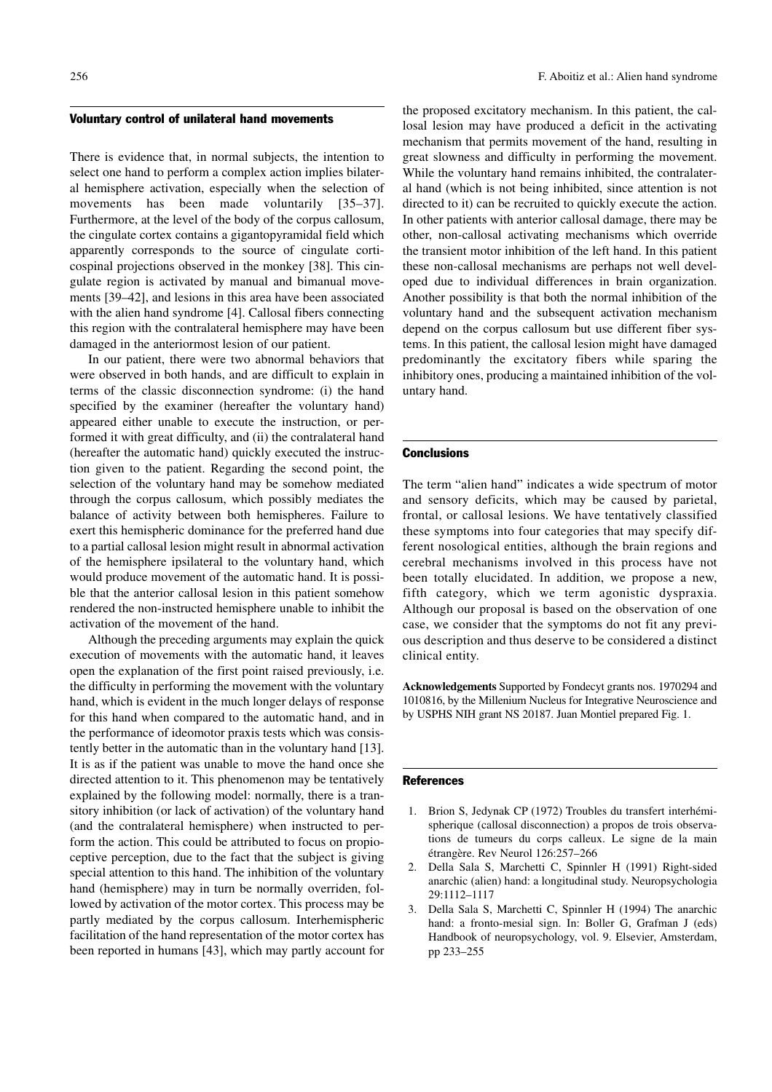#### Voluntary control of unilateral hand movements

There is evidence that, in normal subjects, the intention to select one hand to perform a complex action implies bilateral hemisphere activation, especially when the selection of movements has been made voluntarily [35–37]. Furthermore, at the level of the body of the corpus callosum, the cingulate cortex contains a gigantopyramidal field which apparently corresponds to the source of cingulate corticospinal projections observed in the monkey [38]. This cingulate region is activated by manual and bimanual movements [39–42], and lesions in this area have been associated with the alien hand syndrome [4]. Callosal fibers connecting this region with the contralateral hemisphere may have been damaged in the anteriormost lesion of our patient.

In our patient, there were two abnormal behaviors that were observed in both hands, and are difficult to explain in terms of the classic disconnection syndrome: (i) the hand specified by the examiner (hereafter the voluntary hand) appeared either unable to execute the instruction, or performed it with great difficulty, and (ii) the contralateral hand (hereafter the automatic hand) quickly executed the instruction given to the patient. Regarding the second point, the selection of the voluntary hand may be somehow mediated through the corpus callosum, which possibly mediates the balance of activity between both hemispheres. Failure to exert this hemispheric dominance for the preferred hand due to a partial callosal lesion might result in abnormal activation of the hemisphere ipsilateral to the voluntary hand, which would produce movement of the automatic hand. It is possible that the anterior callosal lesion in this patient somehow rendered the non-instructed hemisphere unable to inhibit the activation of the movement of the hand.

Although the preceding arguments may explain the quick execution of movements with the automatic hand, it leaves open the explanation of the first point raised previously, i.e. the difficulty in performing the movement with the voluntary hand, which is evident in the much longer delays of response for this hand when compared to the automatic hand, and in the performance of ideomotor praxis tests which was consistently better in the automatic than in the voluntary hand [13]. It is as if the patient was unable to move the hand once she directed attention to it. This phenomenon may be tentatively explained by the following model: normally, there is a transitory inhibition (or lack of activation) of the voluntary hand (and the contralateral hemisphere) when instructed to perform the action. This could be attributed to focus on propioceptive perception, due to the fact that the subject is giving special attention to this hand. The inhibition of the voluntary hand (hemisphere) may in turn be normally overriden, followed by activation of the motor cortex. This process may be partly mediated by the corpus callosum. Interhemispheric facilitation of the hand representation of the motor cortex has been reported in humans [43], which may partly account for the proposed excitatory mechanism. In this patient, the callosal lesion may have produced a deficit in the activating mechanism that permits movement of the hand, resulting in great slowness and difficulty in performing the movement. While the voluntary hand remains inhibited, the contralateral hand (which is not being inhibited, since attention is not directed to it) can be recruited to quickly execute the action. In other patients with anterior callosal damage, there may be other, non-callosal activating mechanisms which override the transient motor inhibition of the left hand. In this patient these non-callosal mechanisms are perhaps not well developed due to individual differences in brain organization. Another possibility is that both the normal inhibition of the voluntary hand and the subsequent activation mechanism depend on the corpus callosum but use different fiber systems. In this patient, the callosal lesion might have damaged predominantly the excitatory fibers while sparing the inhibitory ones, producing a maintained inhibition of the voluntary hand.

#### Conclusions

The term "alien hand" indicates a wide spectrum of motor and sensory deficits, which may be caused by parietal, frontal, or callosal lesions. We have tentatively classified these symptoms into four categories that may specify different nosological entities, although the brain regions and cerebral mechanisms involved in this process have not been totally elucidated. In addition, we propose a new, fifth category, which we term agonistic dyspraxia. Although our proposal is based on the observation of one case, we consider that the symptoms do not fit any previous description and thus deserve to be considered a distinct clinical entity.

**Acknowledgements** Supported by Fondecyt grants nos. 1970294 and 1010816, by the Millenium Nucleus for Integrative Neuroscience and by USPHS NIH grant NS 20187. Juan Montiel prepared Fig. 1.

#### **References**

- 1. Brion S, Jedynak CP (1972) Troubles du transfert interhémispherique (callosal disconnection) a propos de trois observations de tumeurs du corps calleux. Le signe de la main étrangère. Rev Neurol 126:257–266
- 2. Della Sala S, Marchetti C, Spinnler H (1991) Right-sided anarchic (alien) hand: a longitudinal study. Neuropsychologia 29:1112–1117
- 3. Della Sala S, Marchetti C, Spinnler H (1994) The anarchic hand: a fronto-mesial sign. In: Boller G, Grafman J (eds) Handbook of neuropsychology, vol. 9. Elsevier, Amsterdam, pp 233–255